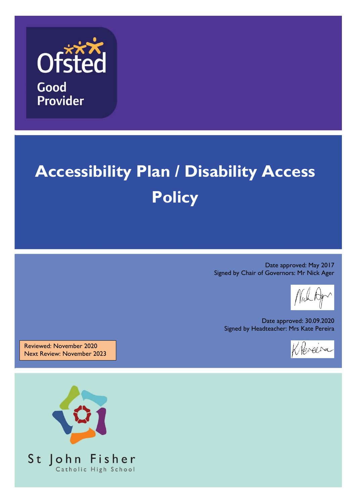

# **Accessibility Plan / Disability Access Policy**

Date approved: May 2017 Signed by Chair of Governors: Mr Nick Ager

Date approved: 30.09.2020 Signed by Headteacher: Mrs Kate Pereira



Reviewed: November 2020 Next Review: November 2023

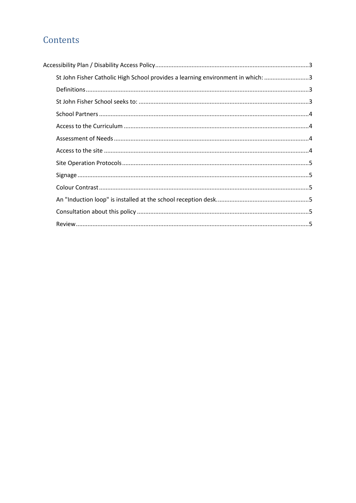# Contents

| St John Fisher Catholic High School provides a learning environment in which: 3 |  |
|---------------------------------------------------------------------------------|--|
|                                                                                 |  |
|                                                                                 |  |
|                                                                                 |  |
|                                                                                 |  |
|                                                                                 |  |
|                                                                                 |  |
|                                                                                 |  |
|                                                                                 |  |
|                                                                                 |  |
|                                                                                 |  |
|                                                                                 |  |
|                                                                                 |  |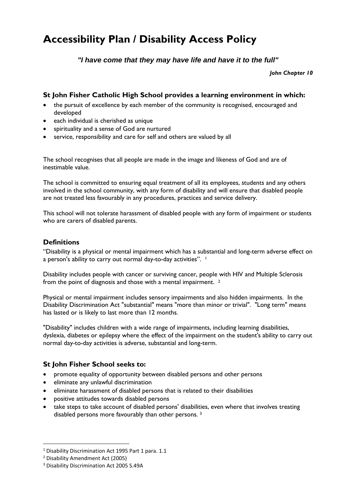# **Accessibility Plan / Disability Access Policy**

*"I have come that they may have life and have it to the full"*

*John Chapter 10*

# **St John Fisher Catholic High School provides a learning environment in which:**

- the pursuit of excellence by each member of the community is recognised, encouraged and developed
- each individual is cherished as unique
- spirituality and a sense of God are nurtured
- service, responsibility and care for self and others are valued by all

The school recognises that all people are made in the image and likeness of God and are of inestimable value.

The school is committed to ensuring equal treatment of all its employees, students and any others involved in the school community, with any form of disability and will ensure that disabled people are not treated less favourably in any procedures, practices and service delivery.

This school will not tolerate harassment of disabled people with any form of impairment or students who are carers of disabled parents.

# **Definitions**

"Disability is a physical or mental impairment which has a substantial and long-term adverse effect on a person's ability to carry out normal day-to-day activities". 1

Disability includes people with cancer or surviving cancer, people with HIV and Multiple Sclerosis from the point of diagnosis and those with a mental impairment.  $^2$ 

Physical or mental impairment includes sensory impairments and also hidden impairments. In the Disability Discrimination Act "substantial" means "more than minor or trivial". "Long term" means has lasted or is likely to last more than 12 months.

"Disability" includes children with a wide range of impairments, including learning disabilities, dyslexia, diabetes or epilepsy where the effect of the impairment on the student's ability to carry out normal day-to-day activities is adverse, substantial and long-term.

# **St John Fisher School seeks to:**

- promote equality of opportunity between disabled persons and other persons
- eliminate any unlawful discrimination
- eliminate harassment of disabled persons that is related to their disabilities
- positive attitudes towards disabled persons
- take steps to take account of disabled persons' disabilities, even where that involves treating disabled persons more favourably than other persons. <sup>3</sup>

 $\overline{a}$ 

<sup>1</sup> Disability Discrimination Act 1995 Part 1 para. 1.1

<sup>2</sup> Disability Amendment Act (2005)

<sup>3</sup> Disability Discrimination Act 2005 S.49A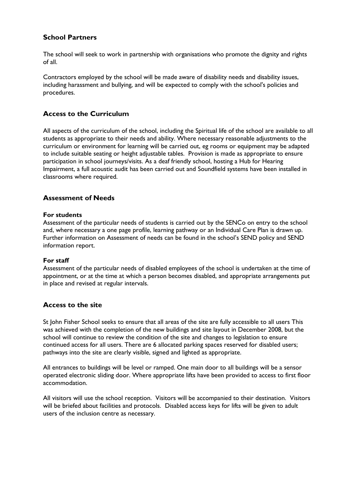# **School Partners**

The school will seek to work in partnership with organisations who promote the dignity and rights of all.

Contractors employed by the school will be made aware of disability needs and disability issues, including harassment and bullying, and will be expected to comply with the school's policies and procedures.

# **Access to the Curriculum**

All aspects of the curriculum of the school, including the Spiritual life of the school are available to all students as appropriate to their needs and ability. Where necessary reasonable adjustments to the curriculum or environment for learning will be carried out, eg rooms or equipment may be adapted to include suitable seating or height adjustable tables. Provision is made as appropriate to ensure participation in school journeys/visits. As a deaf friendly school, hosting a Hub for Hearing Impairment, a full acoustic audit has been carried out and Soundfield systems have been installed in classrooms where required.

# **Assessment of Needs**

#### **For students**

Assessment of the particular needs of students is carried out by the SENCo on entry to the school and, where necessary a one page profile, learning pathway or an Individual Care Plan is drawn up. Further information on Assessment of needs can be found in the school's SEND policy and SEND information report.

#### **For staff**

Assessment of the particular needs of disabled employees of the school is undertaken at the time of appointment, or at the time at which a person becomes disabled, and appropriate arrangements put in place and revised at regular intervals.

# **Access to the site**

St John Fisher School seeks to ensure that all areas of the site are fully accessible to all users This was achieved with the completion of the new buildings and site layout in December 2008, but the school will continue to review the condition of the site and changes to legislation to ensure continued access for all users. There are 6 allocated parking spaces reserved for disabled users; pathways into the site are clearly visible, signed and lighted as appropriate.

All entrances to buildings will be level or ramped. One main door to all buildings will be a sensor operated electronic sliding door. Where appropriate lifts have been provided to access to first floor accommodation.

All visitors will use the school reception. Visitors will be accompanied to their destination. Visitors will be briefed about facilities and protocols. Disabled access keys for lifts will be given to adult users of the inclusion centre as necessary.